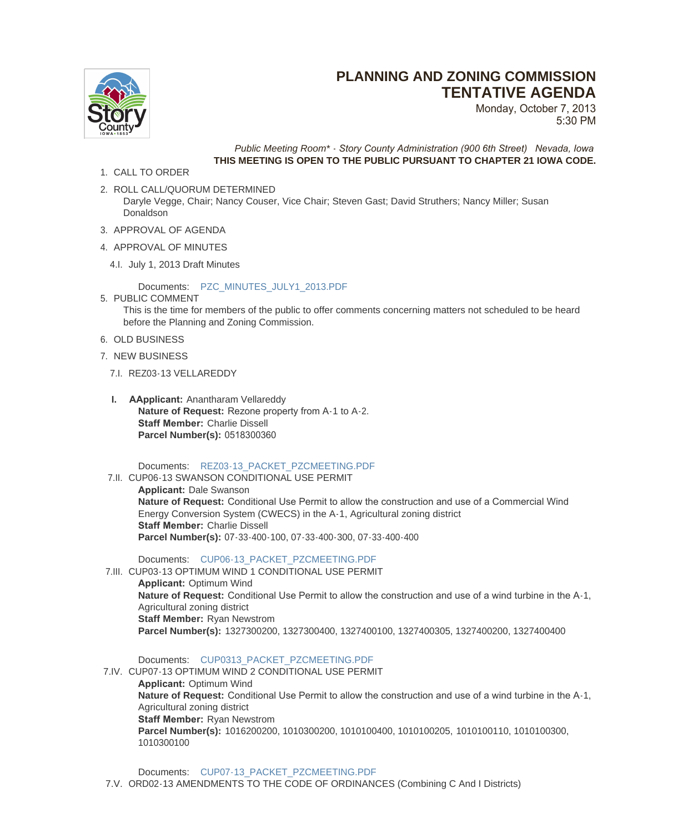## **PLANNING AND ZONING COMMISSION TENTATIVE AGENDA**



Monday, October 7, 2013 5:30 PM

*Public Meeting Room\* - Story County Administration (900 6th Street) Nevada, Iowa* **THIS MEETING IS OPEN TO THE PUBLIC PURSUANT TO CHAPTER 21 IOWA CODE.**

- 1. CALL TO ORDER
- 2. ROLL CALL/QUORUM DETERMINED Daryle Vegge, Chair; Nancy Couser, Vice Chair; Steven Gast; David Struthers; Nancy Miller; Susan Donaldson
- 3. APPROVAL OF AGENDA
- 4. APPROVAL OF MINUTES
	- 4.I. July 1, 2013 Draft Minutes

## Documents: PZC\_MINUTES\_JULY1\_2013.PDF

- 5. PUBLIC COMMENT This is the time for members of the public to offer comments concerning matters not scheduled to be heard before the Planning and Zoning Commission.
- 6. OLD BUSINESS
- 7. NEW BUSINESS
	- 7.I. REZ03-13 VELLAREDDY
	- **I. AApplicant:** Anantharam Vellareddy **Nature of Request:** Rezone property from A-1 to A-2. **Staff Member: Charlie Dissell Parcel Number(s):** 0518300360

Documents: REZ03-13\_PACKET\_PZCMEETING.PDF

7.II. CUP06-13 SWANSON CONDITIONAL USE PERMIT

**Applicant:** Dale Swanson **Nature of Request:** Conditional Use Permit to allow the construction and use of a Commercial Wind Energy Conve[rsion System \(CWECS\) in the A-1, Agricu](http://www.storycountyiowa.gov/AgendaCenter/ViewFile/Item/2359?fileID=1712)ltural zoning district **Staff Member:** Charlie Dissell **Parcel Number(s):** 07-33-400-100, 07-33-400-300, 07-33-400-400

Documents: CUP06-13\_PACKET\_PZCMEETING.PDF

7.III. CUP03-13 OPTIMUM WIND 1 CONDITIONAL USE PERMIT **Applicant:** Optimum Wind

**Nature of Request:** Conditional Use Permit to allow the construction and use of a wind turbine in the A-1, Agricultural zo[ning district](http://www.storycountyiowa.gov/AgendaCenter/ViewFile/Item/2325?fileID=1711) **Staff Member:** Ryan Newstrom **Parcel Number(s):** 1327300200, 1327300400, 1327400100, 1327400305, 1327400200, 1327400400

Documents: CUP0313\_PACKET\_PZCMEETING.PDF

7.IV. CUP07-13 OPTIMUM WIND 2 CONDITIONAL USE PERMIT

**Applicant:** Optimum Wind **Nature of Request:** Conditional Use Permit to allow the construction and use of a wind turbine in the A-1, Agricultural zo[ning district](http://www.storycountyiowa.gov/AgendaCenter/ViewFile/Item/1860?fileID=1709) **Staff Member:** Ryan Newstrom **Parcel Number(s):** 1016200200, 1010300200, 1010100400, 1010100205, 1010100110, 1010100300, 1010300100

Documents: CUP07-13\_PACKET\_PZCMEETING.PDF

7.V. ORD02-13 AMENDMENTS TO THE CODE OF ORDINANCES (Combining C And I Districts)